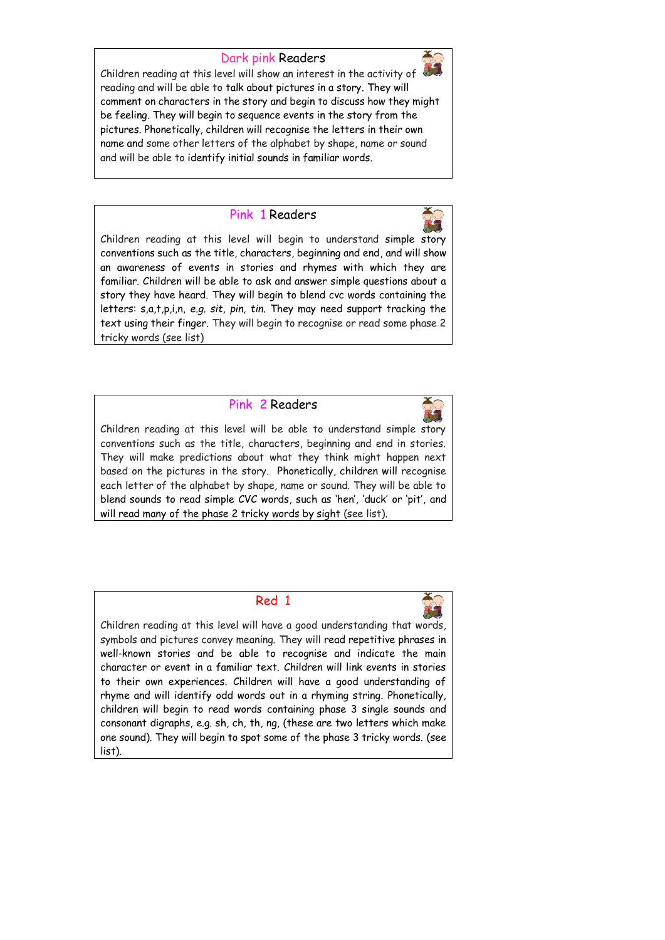## Dark pink Readers



Children reading at this level will show an interest in the activity of reading and will be able to talk about pictures in a story. They will comment on characters in the story and begin to discuss how they might be feeling. They will begin to sequence events in the story from the pictures. Phonetically, children will recognise the letters in their own name and some other letters of the alphabet by shape, name or sound and will be able to identify initial sounds in familiar words.

# Pink 1 Readers



Children reading at this level will begin to understand simple story conventions such as the title, characters, beginning and end, and will show an awareness of events in stories and rhymes with which they are familiar. Children will be able to ask and answer simple questions about a story they have heard. They will begin to blend cvc words containing the letters: s,a,t,p,i,n, *e.g. sit, pin, tin*. They may need support tracking the text using their finger. They will begin to recognise or read some phase 2 tricky words (see list)

# Pink 2 Readers



Red 1



Children reading at this level will have a good understanding that words, symbols and pictures convey meaning. They will read repetitive phrases in well-known stories and be able to recognise and indicate the main character or event in a familiar text. Children will link events in stories to their own experiences. Children will have a good understanding of rhyme and will identify odd words out in a rhyming string. Phonetically, children will begin to read words containing phase 3 single sounds and consonant digraphs, e.g. sh, ch, th, ng, (these are two letters which make one sound). They will begin to spot some of the phase 3 tricky words. (see list).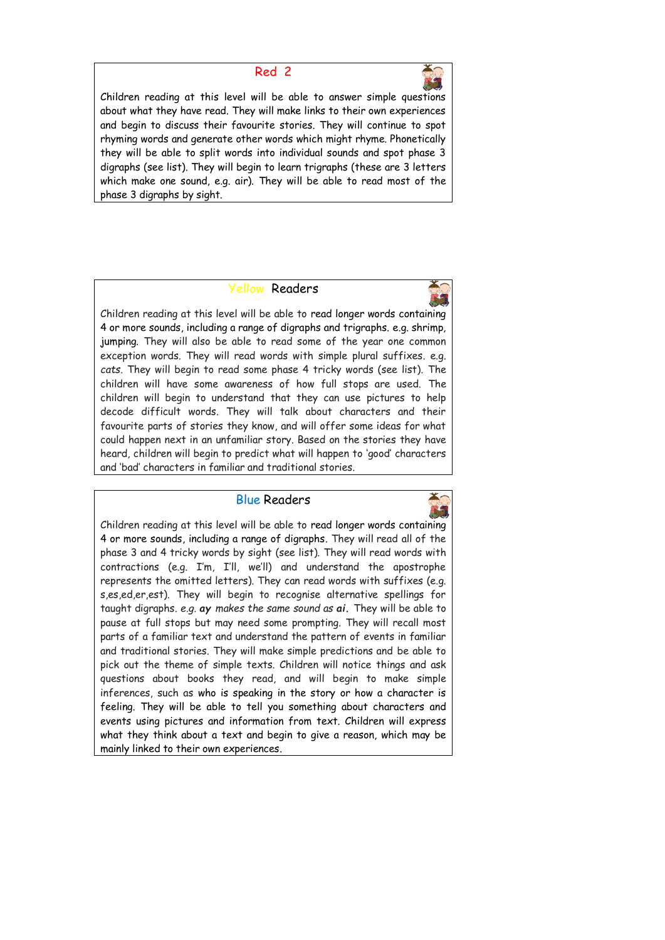#### Red 2



Children reading at this level will be able to answer simple questions about what they have read. They will make links to their own experiences and begin to discuss their favourite stories. They will continue to spot rhyming words and generate other words which might rhyme. Phonetically they will be able to split words into individual sounds and spot phase 3 digraphs (see list). They will begin to learn trigraphs (these are 3 letters which make one sound, e.g. air). They will be able to read most of the phase 3 digraphs by sight.

## Yellow Readers

Children reading at this level will be able to read longer words containing 4 or more sounds, including a range of digraphs and trigraphs. e.g. shrimp, jumping. They will also be able to read some of the year one common exception words. They will read words with simple plural suffixes. e.g. *cats.* They will begin to read some phase 4 tricky words (see list). The children will have some awareness of how full stops are used. The children will begin to understand that they can use pictures to help decode difficult words. They will talk about characters and their favourite parts of stories they know, and will offer some ideas for what could happen next in an unfamiliar story. Based on the stories they have heard, children will begin to predict what will happen to 'good' characters and 'bad' characters in familiar and traditional stories.

## Blue Readers

Children reading at this level will be able to read longer words containing 4 or more sounds, including a range of digraphs. They will read all of the phase 3 and 4 tricky words by sight (see list). They will read words with contractions (e.g. I'm, I'll, we'll) and understand the apostrophe represents the omitted letters). They can read words with suffixes (e.g. s,es,ed,er,est). They will begin to recognise alternative spellings for taught digraphs. *e.g. ay makes the same sound as ai.* They will be able to pause at full stops but may need some prompting. They will recall most parts of a familiar text and understand the pattern of events in familiar and traditional stories. They will make simple predictions and be able to pick out the theme of simple texts. Children will notice things and ask questions about books they read, and will begin to make simple inferences, such as who is speaking in the story or how a character is feeling. They will be able to tell you something about characters and events using pictures and information from text. Children will express what they think about a text and begin to give a reason, which may be mainly linked to their own experiences.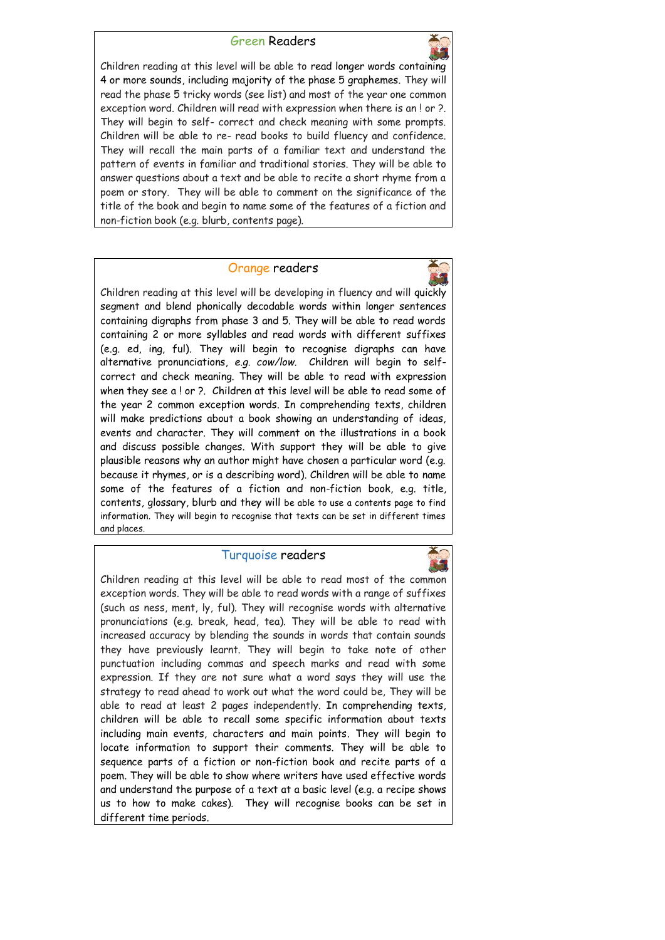#### Green Readers



Children reading at this level will be able to read longer words containing 4 or more sounds, including majority of the phase 5 graphemes. They will read the phase 5 tricky words (see list) and most of the year one common exception word. Children will read with expression when there is an! or ?. They will begin to self- correct and check meaning with some prompts. Children will be able to re- read books to build fluency and confidence. They will recall the main parts of a familiar text and understand the pattern of events in familiar and traditional stories. They will be able to answer questions about a text and be able to recite a short rhyme from a poem or story. They will be able to comment on the significance of the title of the book and begin to name some of the features of a fiction and non-fiction book (e.g. blurb, contents page).

# Orange readers

Children reading at this level will be developing in fluency and will quickly segment and blend phonically decodable words within longer sentences containing digraphs from phase 3 and 5. They will be able to read words containing 2 or more syllables and read words with different suffixes (e.g. ed, ing, ful). They will begin to recognise digraphs can have alternative pronunciations, *e.g. cow/low.* Children will begin to selfcorrect and check meaning. They will be able to read with expression when they see a! or ?. Children at this level will be able to read some of the year 2 common exception words. In comprehending texts, children will make predictions about a book showing an understanding of ideas, events and character. They will comment on the illustrations in a book and discuss possible changes. With support they will be able to give plausible reasons why an author might have chosen a particular word (e.g. because it rhymes, or is a describing word). Children will be able to name some of the features of a fiction and non-fiction book, e.g. title, contents, glossary, blurb and they will be able to use a contents page to find information. They will begin to recognise that texts can be set in different times and places.

#### Turquoise readers

Children reading at this level will be able to read most of the common exception words. They will be able to read words with a range of suffixes (such as ness, ment, ly, ful). They will recognise words with alternative pronunciations (e.g. break, head, tea). They will be able to read with increased accuracy by blending the sounds in words that contain sounds they have previously learnt. They will begin to take note of other punctuation including commas and speech marks and read with some expression. If they are not sure what a word says they will use the strategy to read ahead to work out what the word could be, They will be able to read at least 2 pages independently. In comprehending texts, children will be able to recall some specific information about texts including main events, characters and main points. They will begin to locate information to support their comments. They will be able to sequence parts of a fiction or non-fiction book and recite parts of a poem. They will be able to show where writers have used effective words and understand the purpose of a text at a basic level (e.g. a recipe shows us to how to make cakes). They will recognise books can be set in different time periods.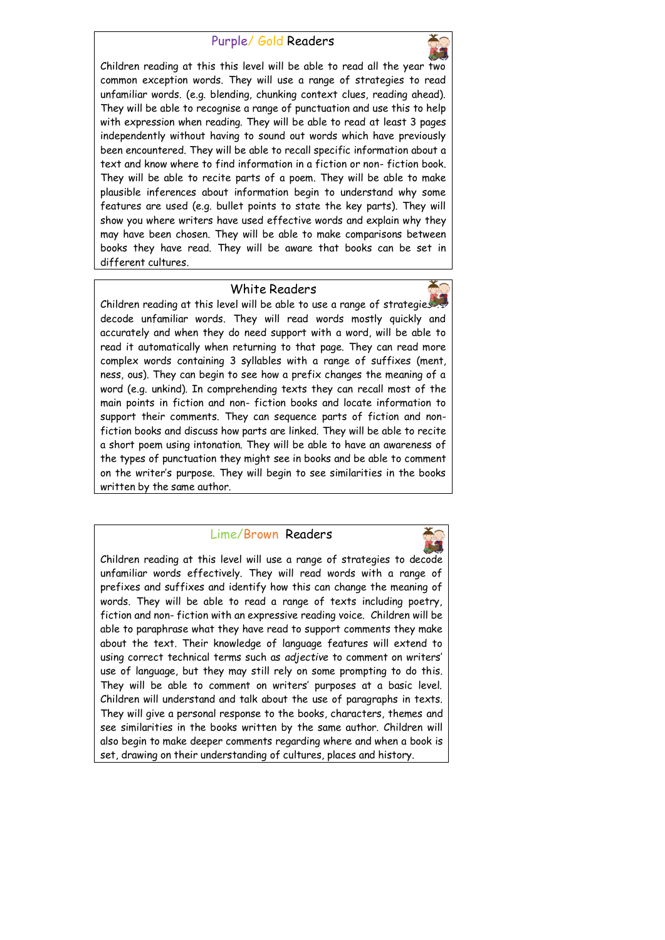# Purple/ Gold Readers



 $\mathbf{x}$ 

Children reading at this this level will be able to read all the year two common exception words. They will use a range of strategies to read unfamiliar words. (e.g. blending, chunking context clues, reading ahead). They will be able to recognise a range of punctuation and use this to help with expression when reading. They will be able to read at least 3 pages independently without having to sound out words which have previously been encountered. They will be able to recall specific information about a text and know where to find information in a fiction or non- fiction book. They will be able to recite parts of a poem. They will be able to make plausible inferences about information begin to understand why some features are used (e.g. bullet points to state the key parts). They will show you where writers have used effective words and explain why they may have been chosen. They will be able to make comparisons between books they have read. They will be aware that books can be set in different cultures.

## White Readers

Children reading at this level will be able to use a range of strategies to decode unfamiliar words. They will read words mostly quickly and accurately and when they do need support with a word, will be able to read it automatically when returning to that page. They can read more complex words containing 3 syllables with a range of suffixes (ment, ness, ous). They can begin to see how a prefix changes the meaning of a word (e.g. unkind). In comprehending texts they can recall most of the main points in fiction and non- fiction books and locate information to support their comments. They can sequence parts of fiction and nonfiction books and discuss how parts are linked. They will be able to recite a short poem using intonation. They will be able to have an awareness of the types of punctuation they might see in books and be able to comment on the writer's purpose. They will begin to see similarities in the books written by the same author.

## Lime/Brown Readers

Children reading at this level will use a range of strategies to decode unfamiliar words effectively. They will read words with a range of prefixes and suffixes and identify how this can change the meaning of words. They will be able to read a range of texts including poetry, fiction and non- fiction with an expressive reading voice. Children will be able to paraphrase what they have read to support comments they make about the text. Their knowledge of language features will extend to using correct technical terms such as *adjective* to comment on writers' use of language, but they may still rely on some prompting to do this. They will be able to comment on writers' purposes at a basic level. Children will understand and talk about the use of paragraphs in texts. They will give a personal response to the books, characters, themes and see similarities in the books written by the same author. Children will also begin to make deeper comments regarding where and when a book is set, drawing on their understanding of cultures, places and history.